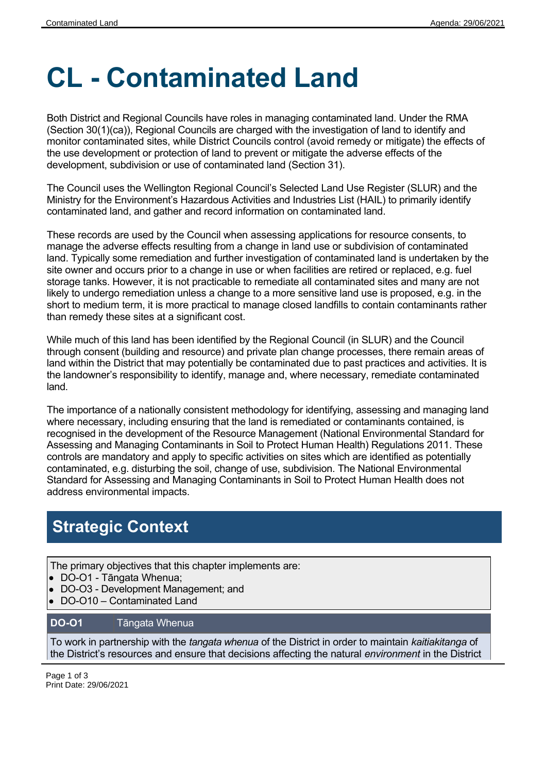# **CL - Contaminated Land**

Both District and Regional Councils have roles in managing contaminated land. Under the RMA (Section 30(1)(ca)), Regional Councils are charged with the investigation of land to identify and monitor contaminated sites, while District Councils control (avoid remedy or mitigate) the effects of the use development or protection of land to prevent or mitigate the adverse effects of the development, subdivision or use of contaminated land (Section 31).

The Council uses the Wellington Regional Council's Selected Land Use Register (SLUR) and the Ministry for the Environment's Hazardous Activities and Industries List (HAIL) to primarily identify contaminated land, and gather and record information on contaminated land.

These records are used by the Council when assessing applications for resource consents, to manage the adverse effects resulting from a change in land use or subdivision of contaminated land. Typically some remediation and further investigation of contaminated land is undertaken by the site owner and occurs prior to a change in use or when facilities are retired or replaced, e.g. fuel storage tanks. However, it is not practicable to remediate all contaminated sites and many are not likely to undergo remediation unless a change to a more sensitive land use is proposed, e.g. in the short to medium term, it is more practical to manage closed landfills to contain contaminants rather than remedy these sites at a significant cost.

While much of this land has been identified by the Regional Council (in SLUR) and the Council through consent (building and resource) and private plan change processes, there remain areas of land within the District that may potentially be contaminated due to past practices and activities. It is the landowner's responsibility to identify, manage and, where necessary, remediate contaminated land.

The importance of a nationally consistent methodology for identifying, assessing and managing land where necessary, including ensuring that the land is remediated or contaminants contained, is recognised in the development of the Resource Management (National Environmental Standard for Assessing and Managing Contaminants in Soil to Protect Human Health) Regulations 2011. These controls are mandatory and apply to specific activities on sites which are identified as potentially contaminated, e.g. disturbing the soil, change of use, subdivision. The National Environmental Standard for Assessing and Managing Contaminants in Soil to Protect Human Health does not address environmental impacts.

## **Strategic Context**

The primary objectives that this chapter implements are:

- DO-O1 Tāngata Whenua;
- DO-O3 Development Management; and
- DO-O10 Contaminated Land

#### **DO-O1** Tāngata Whenua

To work in partnership with the *tangata whenua* of the District in order to maintain *kaitiakitanga* of the District's resources and ensure that decisions affecting the natural *environment* in the District

Page 1 of 3 Print Date: 29/06/2021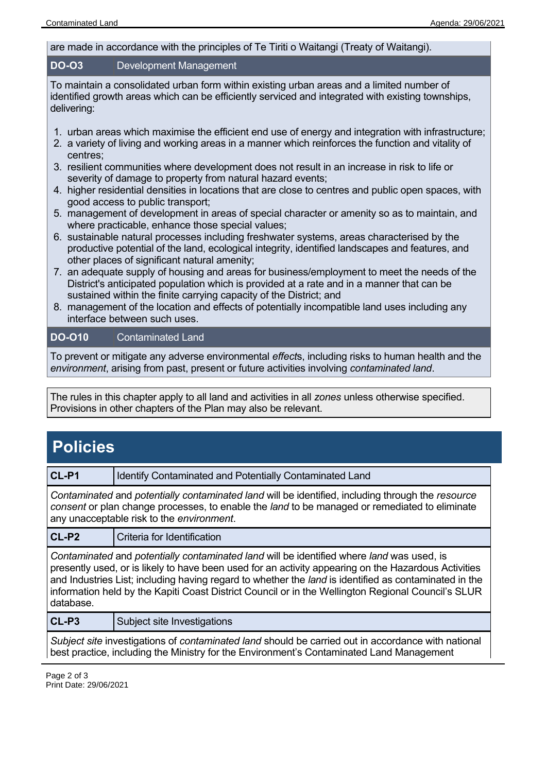#### are made in accordance with the principles of Te Tiriti o Waitangi (Treaty of Waitangi).

#### **DO-O3** Development Management

To maintain a consolidated urban form within existing urban areas and a limited number of identified growth areas which can be efficiently serviced and integrated with existing townships, delivering:

- 1. urban areas which maximise the efficient end use of energy and integration with infrastructure;
- 2. a variety of living and working areas in a manner which reinforces the function and vitality of centres;
- 3. resilient communities where development does not result in an increase in risk to life or severity of damage to property from natural hazard events;
- 4. higher residential densities in locations that are close to centres and public open spaces, with good access to public transport;
- 5. management of development in areas of special character or amenity so as to maintain, and where practicable, enhance those special values;
- 6. sustainable natural processes including freshwater systems, areas characterised by the productive potential of the land, ecological integrity, identified landscapes and features, and other places of significant natural amenity;
- 7. an adequate supply of housing and areas for business/employment to meet the needs of the District's anticipated population which is provided at a rate and in a manner that can be sustained within the finite carrying capacity of the District; and
- 8. management of the location and effects of potentially incompatible land uses including any interface between such uses.

#### **DO-O10** Contaminated Land

To prevent or mitigate any adverse environmental *effect*s, including risks to human health and the *environment*, arising from past, present or future activities involving *contaminated land*.

The rules in this chapter apply to all land and activities in all *zones* unless otherwise specified. Provisions in other chapters of the Plan may also be relevant.

## **Policies**

**CL-P1** Identify Contaminated and Potentially Contaminated Land

*Contaminated* and *potentially contaminated land* will be identified, including through the *resource consent* or plan change processes, to enable the *land* to be managed or remediated to eliminate any unacceptable risk to the *environment*.

**CL-P2** Criteria for Identification

*Contaminated* and *potentially contaminated land* will be identified where *land* was used, is presently used, or is likely to have been used for an activity appearing on the Hazardous Activities and Industries List; including having regard to whether the *land* is identified as contaminated in the information held by the Kapiti Coast District Council or in the Wellington Regional Council's SLUR database.

**CL-P3** Subject site Investigations

*Subject site* investigations of *contaminated land* should be carried out in accordance with national best practice, including the Ministry for the Environment's Contaminated Land Management